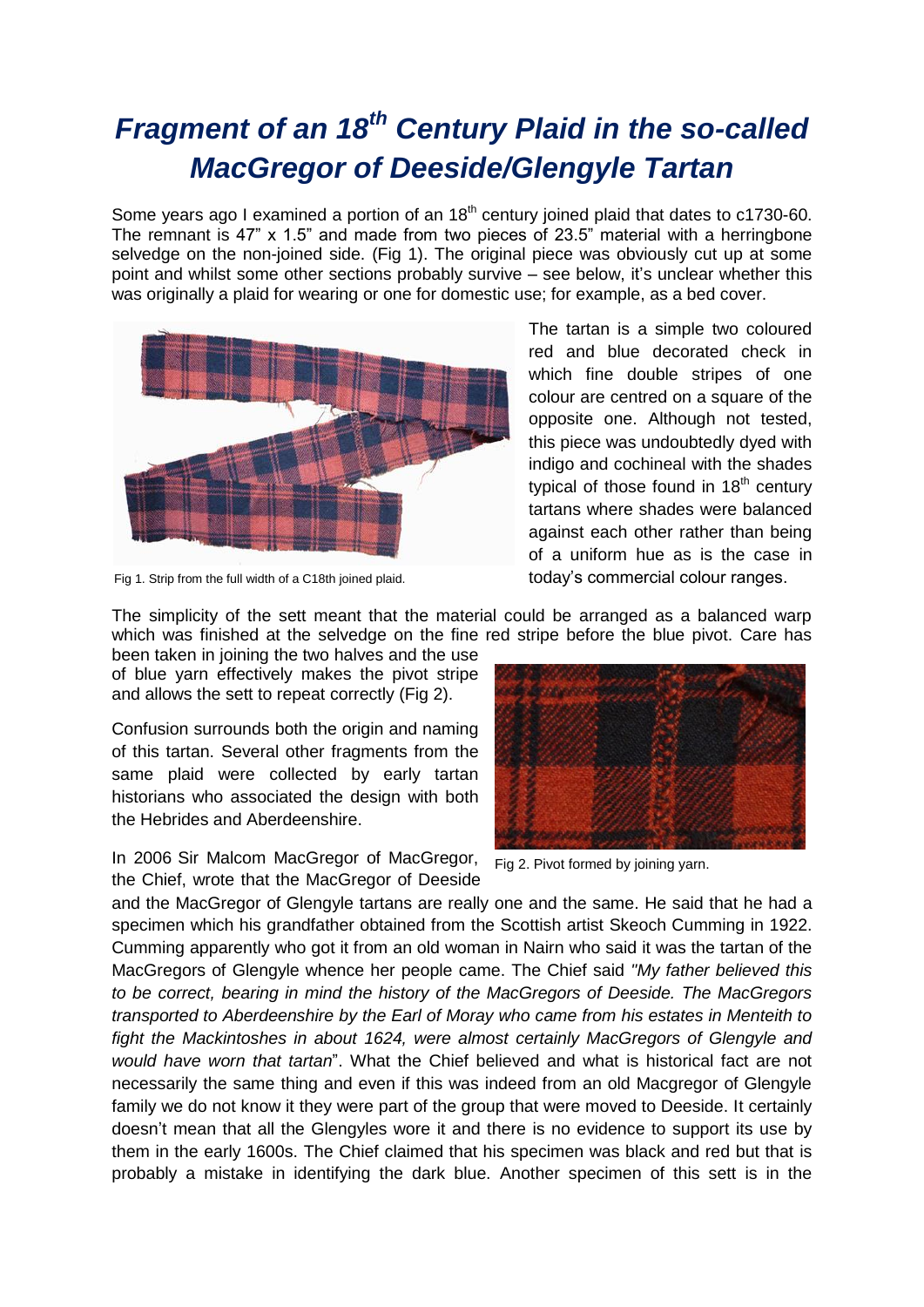## *Fragment of an 18th Century Plaid in the so-called MacGregor of Deeside/Glengyle Tartan*

Some years ago I examined a portion of an 18<sup>th</sup> century joined plaid that dates to c1730-60. The remnant is 47" x 1.5" and made from two pieces of 23.5" material with a herringbone selvedge on the non-joined side. (Fig 1). The original piece was obviously cut up at some point and whilst some other sections probably survive – see below, it's unclear whether this was originally a plaid for wearing or one for domestic use; for example, as a bed cover.



Fig 1. Strip from the full width of a C18th joined plaid.

The tartan is a simple two coloured red and blue decorated check in which fine double stripes of one colour are centred on a square of the opposite one. Although not tested, this piece was undoubtedly dyed with indigo and cochineal with the shades typical of those found in  $18<sup>th</sup>$  century tartans where shades were balanced against each other rather than being of a uniform hue as is the case in today's commercial colour ranges.

The simplicity of the sett meant that the material could be arranged as a balanced warp which was finished at the selvedge on the fine red stripe before the blue pivot. Care has

been taken in joining the two halves and the use of blue yarn effectively makes the pivot stripe and allows the sett to repeat correctly (Fig 2).

Confusion surrounds both the origin and naming of this tartan. Several other fragments from the same plaid were collected by early tartan historians who associated the design with both the Hebrides and Aberdeenshire.

In 2006 Sir Malcom MacGregor of MacGregor, Fig 2. Pivot formed by joining yarn. the Chief, wrote that the MacGregor of Deeside



and the MacGregor of Glengyle tartans are really one and the same. He said that he had a specimen which his grandfather obtained from the Scottish artist Skeoch Cumming in 1922. Cumming apparently who got it from an old woman in Nairn who said it was the tartan of the MacGregors of Glengyle whence her people came. The Chief said *"My father believed this to be correct, bearing in mind the history of the MacGregors of Deeside. The MacGregors transported to Aberdeenshire by the Earl of Moray who came from his estates in Menteith to fight the Mackintoshes in about 1624, were almost certainly MacGregors of Glengyle and would have worn that tartan*". What the Chief believed and what is historical fact are not necessarily the same thing and even if this was indeed from an old Macgregor of Glengyle family we do not know it they were part of the group that were moved to Deeside. It certainly doesn't mean that all the Glengyles wore it and there is no evidence to support its use by them in the early 1600s. The Chief claimed that his specimen was black and red but that is probably a mistake in identifying the dark blue. Another specimen of this sett is in the